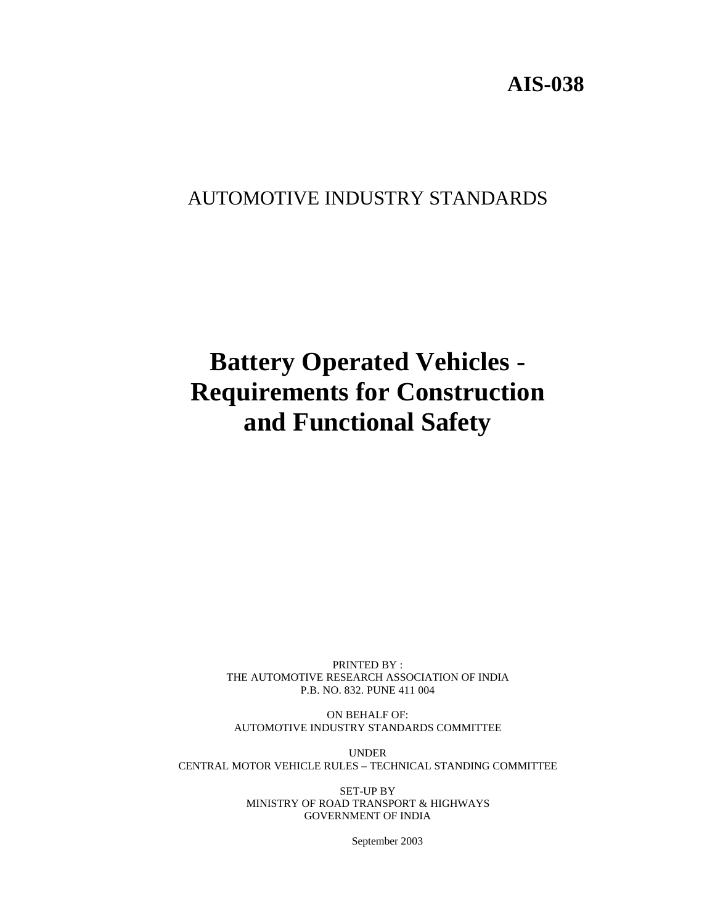# AUTOMOTIVE INDUSTRY STANDARDS

# **Battery Operated Vehicles - Requirements for Construction and Functional Safety**

PRINTED BY : THE AUTOMOTIVE RESEARCH ASSOCIATION OF INDIA P.B. NO. 832. PUNE 411 004

ON BEHALF OF: AUTOMOTIVE INDUSTRY STANDARDS COMMITTEE

UNDER CENTRAL MOTOR VEHICLE RULES – TECHNICAL STANDING COMMITTEE

> SET-UP BY MINISTRY OF ROAD TRANSPORT & HIGHWAYS GOVERNMENT OF INDIA

> > September 2003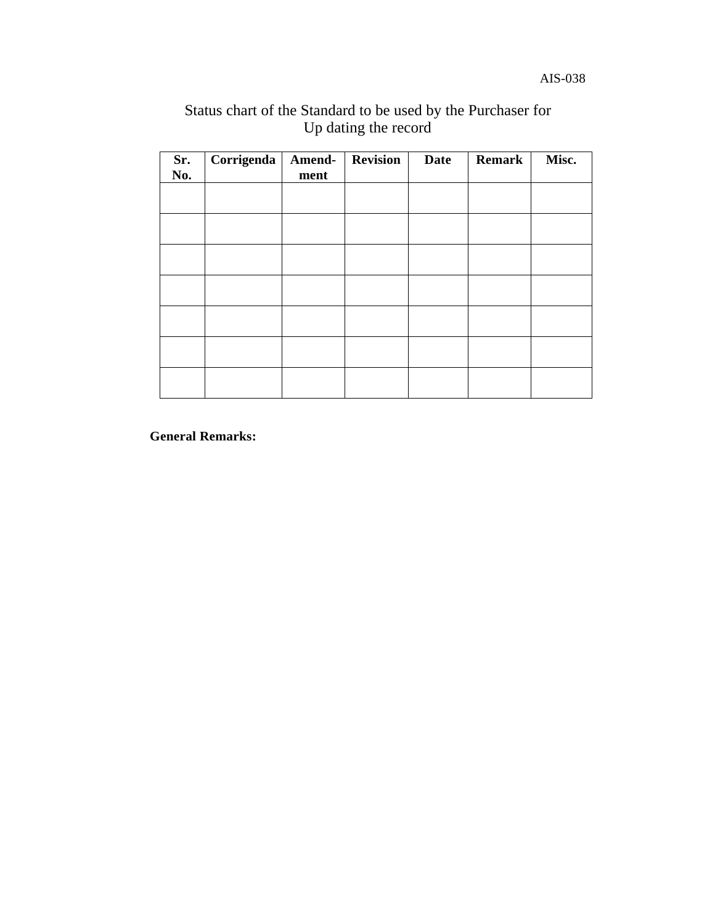| Status chart of the Standard to be used by the Purchaser for |                      |  |  |
|--------------------------------------------------------------|----------------------|--|--|
|                                                              | Up dating the record |  |  |

| Sr.<br>No. | Corrigenda | Amend-<br>ment | <b>Revision</b> | <b>Date</b> | <b>Remark</b> | Misc. |
|------------|------------|----------------|-----------------|-------------|---------------|-------|
|            |            |                |                 |             |               |       |
|            |            |                |                 |             |               |       |
|            |            |                |                 |             |               |       |
|            |            |                |                 |             |               |       |
|            |            |                |                 |             |               |       |
|            |            |                |                 |             |               |       |
|            |            |                |                 |             |               |       |

**General Remarks:**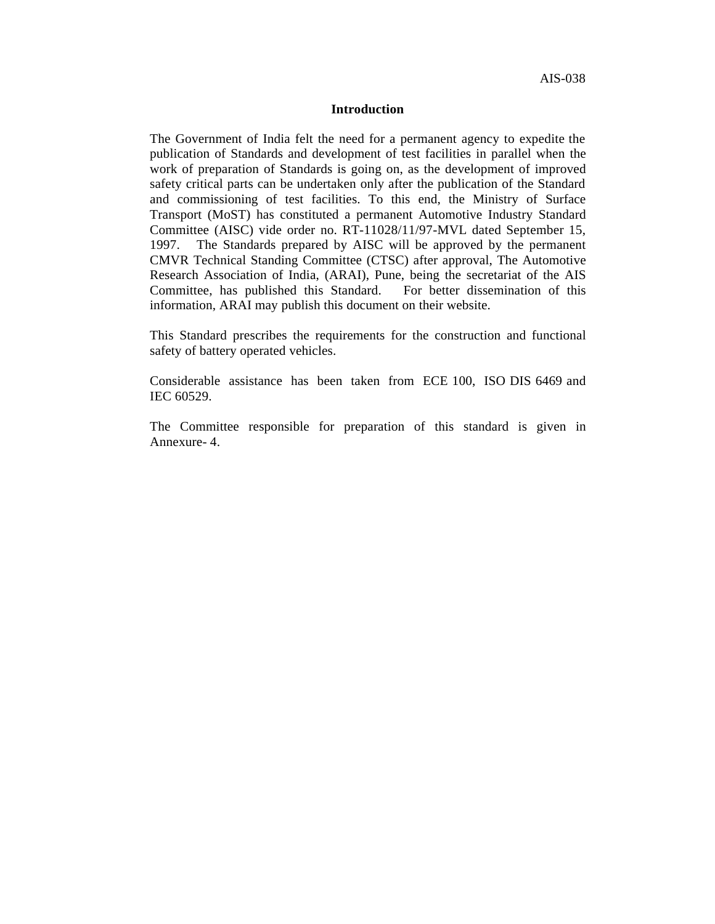#### **Introduction**

The Government of India felt the need for a permanent agency to expedite the publication of Standards and development of test facilities in parallel when the work of preparation of Standards is going on, as the development of improved safety critical parts can be undertaken only after the publication of the Standard and commissioning of test facilities. To this end, the Ministry of Surface Transport (MoST) has constituted a permanent Automotive Industry Standard Committee (AISC) vide order no. RT-11028/11/97-MVL dated September 15, 1997. The Standards prepared by AISC will be approved by the permanent CMVR Technical Standing Committee (CTSC) after approval, The Automotive Research Association of India, (ARAI), Pune, being the secretariat of the AIS Committee, has published this Standard. For better dissemination of this information, ARAI may publish this document on their website.

This Standard prescribes the requirements for the construction and functional safety of battery operated vehicles.

Considerable assistance has been taken from ECE 100, ISO DIS 6469 and IEC 60529.

The Committee responsible for preparation of this standard is given in Annexure- 4.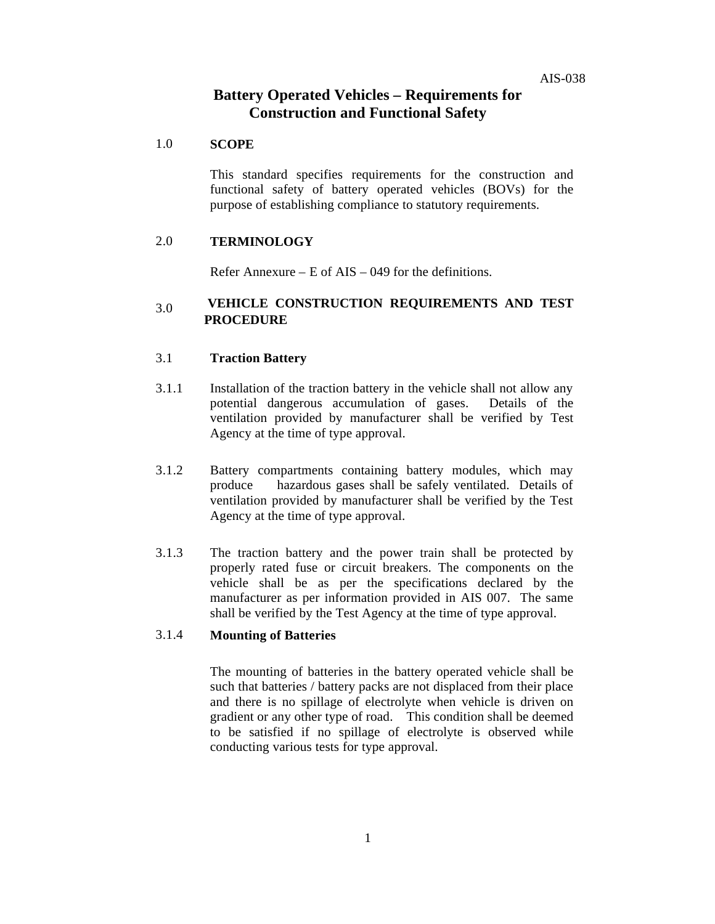# **Battery Operated Vehicles – Requirements for Construction and Functional Safety**

#### 1.0 **SCOPE**

This standard specifies requirements for the construction and functional safety of battery operated vehicles (BOVs) for the purpose of establishing compliance to statutory requirements.

#### 2.0 **TERMINOLOGY**

Refer Annexure – E of AIS – 049 for the definitions.

# 3.0 **VEHICLE CONSTRUCTION REQUIREMENTS AND TEST PROCEDURE**

#### 3.1 **Traction Battery**

- 3.1.1 Installation of the traction battery in the vehicle shall not allow any potential dangerous accumulation of gases. Details of the ventilation provided by manufacturer shall be verified by Test Agency at the time of type approval.
- 3.1.2 Battery compartments containing battery modules, which may produce hazardous gases shall be safely ventilated. Details of ventilation provided by manufacturer shall be verified by the Test Agency at the time of type approval.
- 3.1.3 The traction battery and the power train shall be protected by properly rated fuse or circuit breakers. The components on the vehicle shall be as per the specifications declared by the manufacturer as per information provided in AIS 007. The same shall be verified by the Test Agency at the time of type approval.

## 3.1.4 **Mounting of Batteries**

The mounting of batteries in the battery operated vehicle shall be such that batteries / battery packs are not displaced from their place and there is no spillage of electrolyte when vehicle is driven on gradient or any other type of road. This condition shall be deemed to be satisfied if no spillage of electrolyte is observed while conducting various tests for type approval.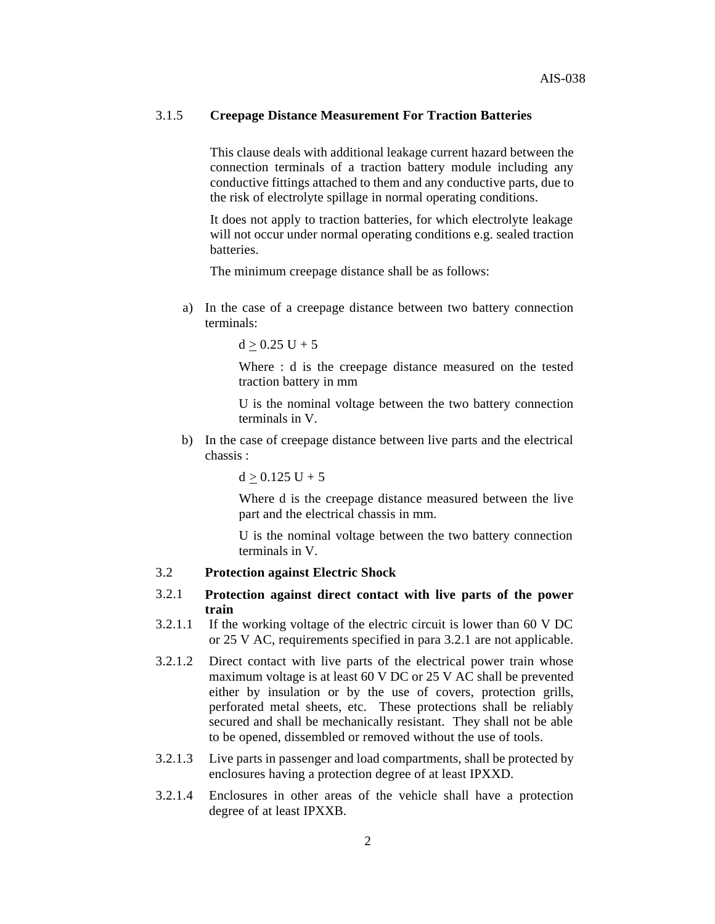## 3.1.5 **Creepage Distance Measurement For Traction Batteries**

This clause deals with additional leakage current hazard between the connection terminals of a traction battery module including any conductive fittings attached to them and any conductive parts, due to the risk of electrolyte spillage in normal operating conditions.

It does not apply to traction batteries, for which electrolyte leakage will not occur under normal operating conditions e.g. sealed traction batteries.

The minimum creepage distance shall be as follows:

a) In the case of a creepage distance between two battery connection terminals:

 $d > 0.25$  U + 5

Where : d is the creepage distance measured on the tested traction battery in mm

U is the nominal voltage between the two battery connection terminals in V.

b) In the case of creepage distance between live parts and the electrical chassis :

 $d > 0.125$  U + 5

Where d is the creepage distance measured between the live part and the electrical chassis in mm.

U is the nominal voltage between the two battery connection terminals in V.

# 3.2 **Protection against Electric Shock**

- 3.2.1 **Protection against direct contact with live parts of the power train**
- 3.2.1.1 If the working voltage of the electric circuit is lower than 60 V DC or 25 V AC, requirements specified in para 3.2.1 are not applicable.
- 3.2.1.2 Direct contact with live parts of the electrical power train whose maximum voltage is at least 60 V DC or 25 V AC shall be prevented either by insulation or by the use of covers, protection grills, perforated metal sheets, etc. These protections shall be reliably secured and shall be mechanically resistant. They shall not be able to be opened, dissembled or removed without the use of tools.
- 3.2.1.3 Live parts in passenger and load compartments, shall be protected by enclosures having a protection degree of at least IPXXD.
- 3.2.1.4 Enclosures in other areas of the vehicle shall have a protection degree of at least IPXXB.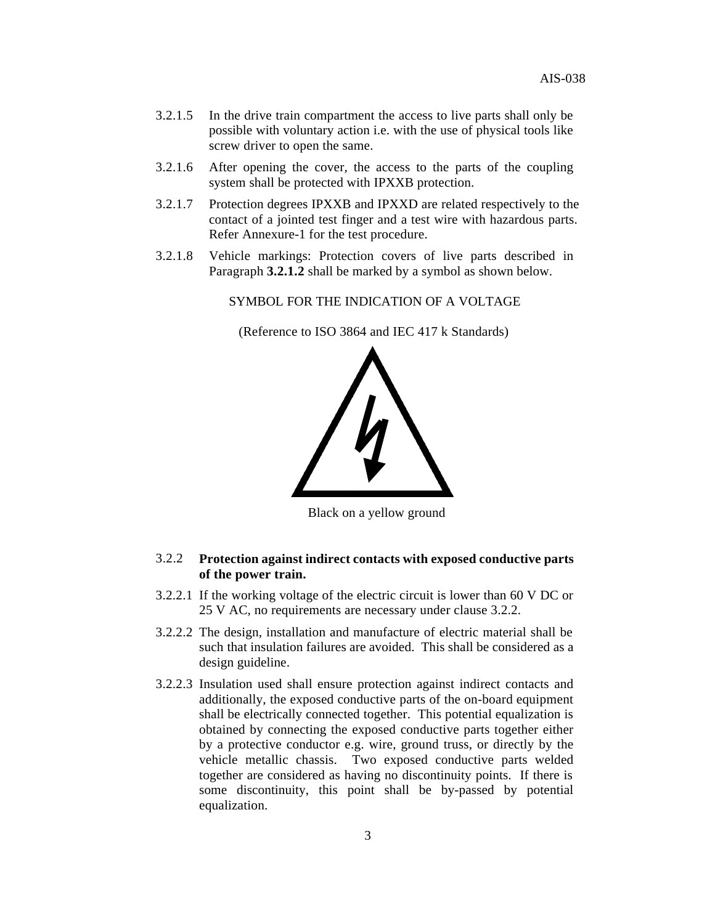- 3.2.1.5 In the drive train compartment the access to live parts shall only be possible with voluntary action i.e. with the use of physical tools like screw driver to open the same.
- 3.2.1.6 After opening the cover, the access to the parts of the coupling system shall be protected with IPXXB protection.
- 3.2.1.7 Protection degrees IPXXB and IPXXD are related respectively to the contact of a jointed test finger and a test wire with hazardous parts. Refer Annexure-1 for the test procedure.
- 3.2.1.8 Vehicle markings: Protection covers of live parts described in Paragraph **3.2.1.2** shall be marked by a symbol as shown below.

SYMBOL FOR THE INDICATION OF A VOLTAGE

(Reference to ISO 3864 and IEC 417 k Standards)



Black on a yellow ground

## 3.2.2 **Protection against indirect contacts with exposed conductive parts of the power train.**

- 3.2.2.1 If the working voltage of the electric circuit is lower than 60 V DC or 25 V AC, no requirements are necessary under clause 3.2.2.
- 3.2.2.2 The design, installation and manufacture of electric material shall be such that insulation failures are avoided. This shall be considered as a design guideline.
- 3.2.2.3 Insulation used shall ensure protection against indirect contacts and additionally, the exposed conductive parts of the on-board equipment shall be electrically connected together. This potential equalization is obtained by connecting the exposed conductive parts together either by a protective conductor e.g. wire, ground truss, or directly by the vehicle metallic chassis. Two exposed conductive parts welded together are considered as having no discontinuity points. If there is some discontinuity, this point shall be by-passed by potential equalization.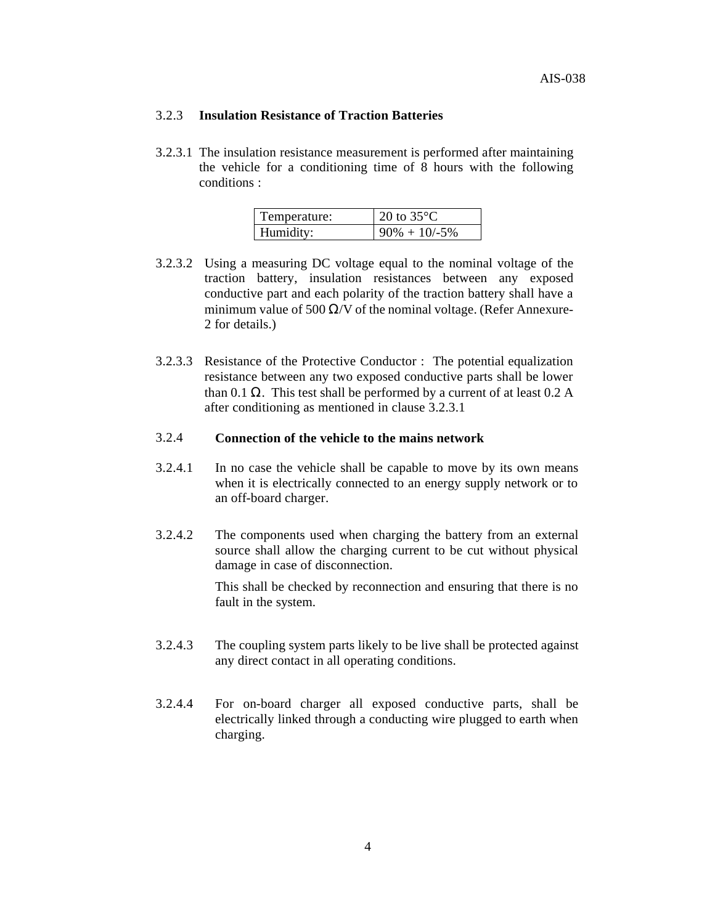#### 3.2.3 **Insulation Resistance of Traction Batteries**

3.2.3.1 The insulation resistance measurement is performed after maintaining the vehicle for a conditioning time of 8 hours with the following conditions :

| Temperature: | 20 to $35^{\circ}$ C |
|--------------|----------------------|
| Humidity:    | $90\% + 10/ -5\%$    |

- 3.2.3.2 Using a measuring DC voltage equal to the nominal voltage of the traction battery, insulation resistances between any exposed conductive part and each polarity of the traction battery shall have a minimum value of 500  $\Omega$ /V of the nominal voltage. (Refer Annexure-2 for details.)
- 3.2.3.3 Resistance of the Protective Conductor : The potential equalization resistance between any two exposed conductive parts shall be lower than 0.1 Ω. This test shall be performed by a current of at least  $0.2 A$ after conditioning as mentioned in clause 3.2.3.1

# 3.2.4 **Connection of the vehicle to the mains network**

- 3.2.4.1 In no case the vehicle shall be capable to move by its own means when it is electrically connected to an energy supply network or to an off-board charger.
- 3.2.4.2 The components used when charging the battery from an external source shall allow the charging current to be cut without physical damage in case of disconnection.

This shall be checked by reconnection and ensuring that there is no fault in the system.

- 3.2.4.3 The coupling system parts likely to be live shall be protected against any direct contact in all operating conditions.
- 3.2.4.4 For on-board charger all exposed conductive parts, shall be electrically linked through a conducting wire plugged to earth when charging.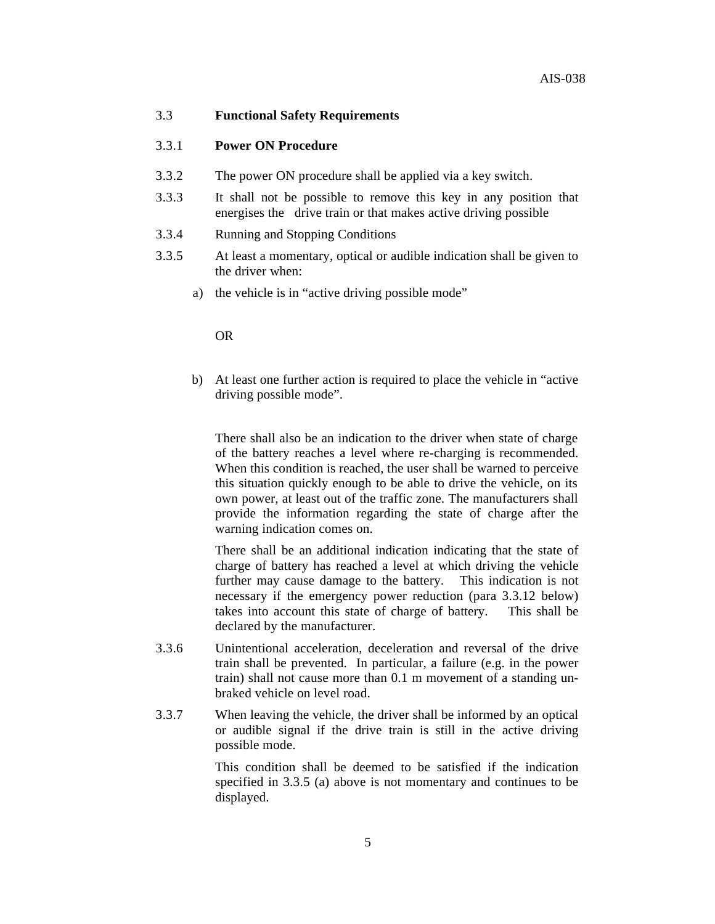#### 3.3 **Functional Safety Requirements**

#### 3.3.1 **Power ON Procedure**

- 3.3.2 The power ON procedure shall be applied via a key switch.
- 3.3.3 It shall not be possible to remove this key in any position that energises the drive train or that makes active driving possible
- 3.3.4 Running and Stopping Conditions
- 3.3.5 At least a momentary, optical or audible indication shall be given to the driver when:
	- a) the vehicle is in "active driving possible mode"

#### OR

b) At least one further action is required to place the vehicle in "active driving possible mode".

There shall also be an indication to the driver when state of charge of the battery reaches a level where re-charging is recommended. When this condition is reached, the user shall be warned to perceive this situation quickly enough to be able to drive the vehicle, on its own power, at least out of the traffic zone. The manufacturers shall provide the information regarding the state of charge after the warning indication comes on.

There shall be an additional indication indicating that the state of charge of battery has reached a level at which driving the vehicle further may cause damage to the battery. This indication is not necessary if the emergency power reduction (para 3.3.12 below) takes into account this state of charge of battery. This shall be declared by the manufacturer.

- 3.3.6 Unintentional acceleration, deceleration and reversal of the drive train shall be prevented. In particular, a failure (e.g. in the power train) shall not cause more than 0.1 m movement of a standing unbraked vehicle on level road.
- 3.3.7 When leaving the vehicle, the driver shall be informed by an optical or audible signal if the drive train is still in the active driving possible mode.

This condition shall be deemed to be satisfied if the indication specified in 3.3.5 (a) above is not momentary and continues to be displayed.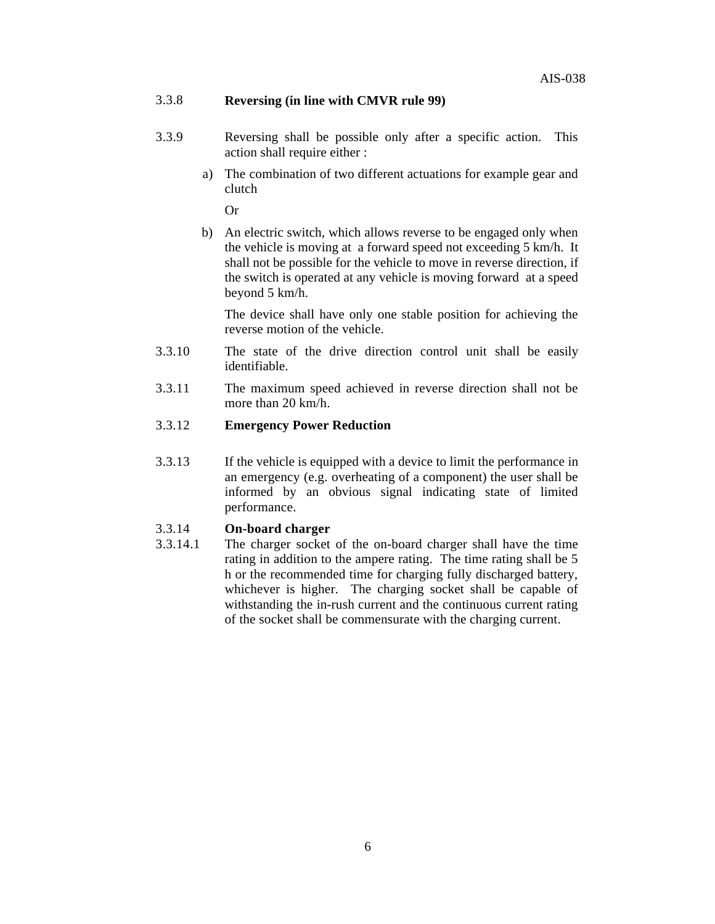# 3.3.8 **Reversing (in line with CMVR rule 99)**

- 3.3.9 Reversing shall be possible only after a specific action. This action shall require either :
	- a) The combination of two different actuations for example gear and clutch

Or

b) An electric switch, which allows reverse to be engaged only when the vehicle is moving at a forward speed not exceeding 5 km/h. It shall not be possible for the vehicle to move in reverse direction, if the switch is operated at any vehicle is moving forward at a speed beyond 5 km/h.

The device shall have only one stable position for achieving the reverse motion of the vehicle.

- 3.3.10 The state of the drive direction control unit shall be easily identifiable.
- 3.3.11 The maximum speed achieved in reverse direction shall not be more than 20 km/h.

# 3.3.12 **Emergency Power Reduction**

3.3.13 If the vehicle is equipped with a device to limit the performance in an emergency (e.g. overheating of a component) the user shall be informed by an obvious signal indicating state of limited performance.

# 3.3.14 **On-board charger**

3.3.14.1 The charger socket of the on-board charger shall have the time rating in addition to the ampere rating. The time rating shall be 5 h or the recommended time for charging fully discharged battery, whichever is higher. The charging socket shall be capable of withstanding the in-rush current and the continuous current rating of the socket shall be commensurate with the charging current.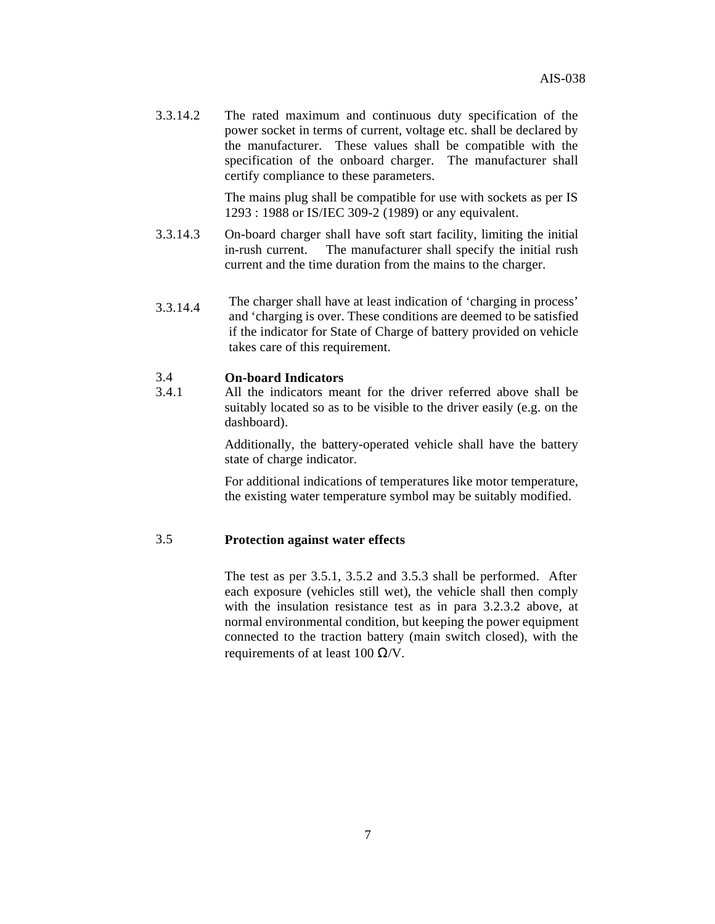3.3.14.2 The rated maximum and continuous duty specification of the power socket in terms of current, voltage etc. shall be declared by the manufacturer. These values shall be compatible with the specification of the onboard charger. The manufacturer shall certify compliance to these parameters.

> The mains plug shall be compatible for use with sockets as per IS 1293 : 1988 or IS/IEC 309-2 (1989) or any equivalent.

- 3.3.14.3 On-board charger shall have soft start facility, limiting the initial in-rush current. The manufacturer shall specify the initial rush current and the time duration from the mains to the charger.
- 3.3.14.4 The charger shall have at least indication of 'charging in process' and 'charging is over. These conditions are deemed to be satisfied if the indicator for State of Charge of battery provided on vehicle takes care of this requirement.

## 3.4 **On-board Indicators**

3.4.1 All the indicators meant for the driver referred above shall be suitably located so as to be visible to the driver easily (e.g. on the dashboard).

> Additionally, the battery-operated vehicle shall have the battery state of charge indicator.

> For additional indications of temperatures like motor temperature, the existing water temperature symbol may be suitably modified.

#### 3.5 **Protection against water effects**

The test as per 3.5.1, 3.5.2 and 3.5.3 shall be performed. After each exposure (vehicles still wet), the vehicle shall then comply with the insulation resistance test as in para 3.2.3.2 above, at normal environmental condition, but keeping the power equipment connected to the traction battery (main switch closed), with the requirements of at least 100  $\Omega$ /V.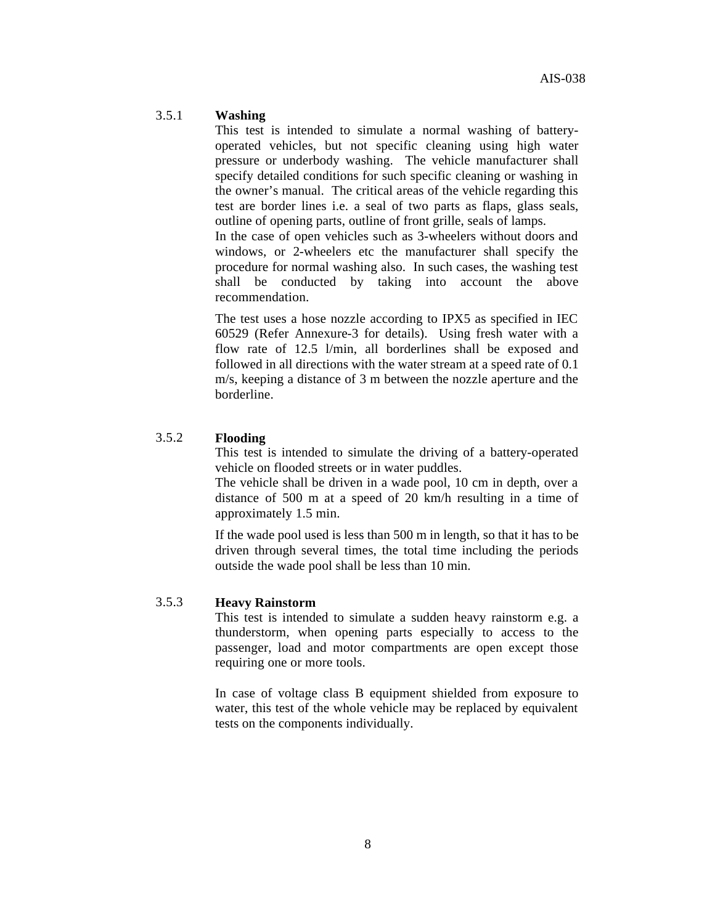#### 3.5.1 **Washing**

This test is intended to simulate a normal washing of batteryoperated vehicles, but not specific cleaning using high water pressure or underbody washing. The vehicle manufacturer shall specify detailed conditions for such specific cleaning or washing in the owner's manual. The critical areas of the vehicle regarding this test are border lines i.e. a seal of two parts as flaps, glass seals, outline of opening parts, outline of front grille, seals of lamps. In the case of open vehicles such as 3-wheelers without doors and

windows, or 2-wheelers etc the manufacturer shall specify the procedure for normal washing also. In such cases, the washing test shall be conducted by taking into account the above recommendation.

The test uses a hose nozzle according to IPX5 as specified in IEC 60529 (Refer Annexure-3 for details). Using fresh water with a flow rate of 12.5 l/min, all borderlines shall be exposed and followed in all directions with the water stream at a speed rate of 0.1 m/s, keeping a distance of 3 m between the nozzle aperture and the borderline.

# 3.5.2 **Flooding**

This test is intended to simulate the driving of a battery-operated vehicle on flooded streets or in water puddles.

The vehicle shall be driven in a wade pool, 10 cm in depth, over a distance of 500 m at a speed of 20 km/h resulting in a time of approximately 1.5 min.

If the wade pool used is less than 500 m in length, so that it has to be driven through several times, the total time including the periods outside the wade pool shall be less than 10 min.

#### 3.5.3 **Heavy Rainstorm**

This test is intended to simulate a sudden heavy rainstorm e.g. a thunderstorm, when opening parts especially to access to the passenger, load and motor compartments are open except those requiring one or more tools.

In case of voltage class B equipment shielded from exposure to water, this test of the whole vehicle may be replaced by equivalent tests on the components individually.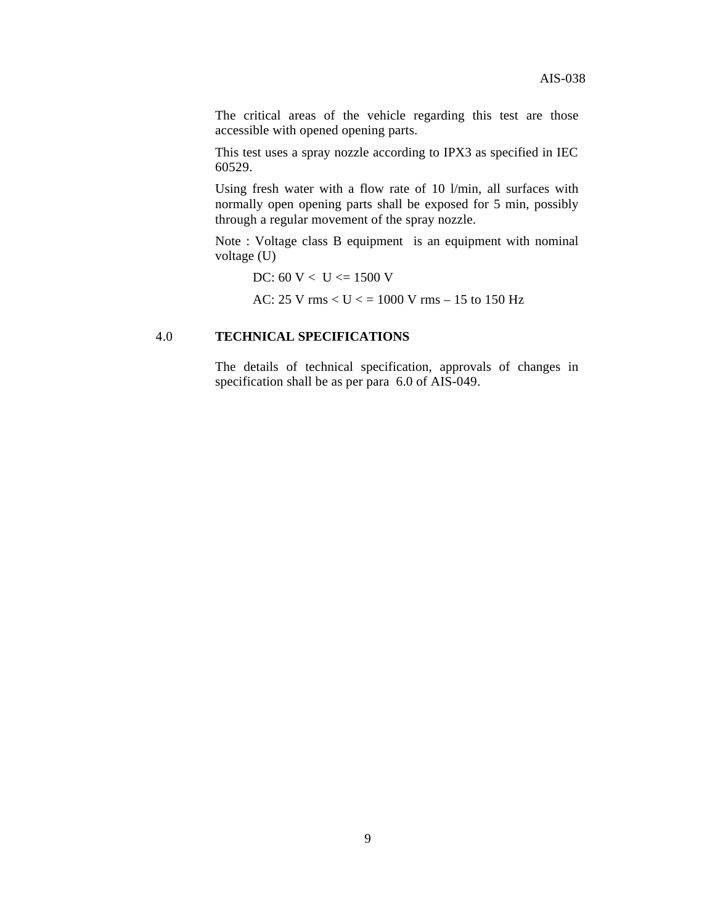The critical areas of the vehicle regarding this test are those accessible with opened opening parts.

This test uses a spray nozzle according to IPX3 as specified in IEC 60529.

Using fresh water with a flow rate of 10 l/min, all surfaces with normally open opening parts shall be exposed for 5 min, possibly through a regular movement of the spray nozzle.

Note : Voltage class B equipment is an equipment with nominal voltage (U)

DC:  $60 V < U \le 1500 V$ 

AC:  $25 \text{ V}$  rms  $< U <$  = 1000 V rms  $- 15$  to 150 Hz

# 4.0 **TECHNICAL SPECIFICATIONS**

The details of technical specification, approvals of changes in specification shall be as per para 6.0 of AIS-049.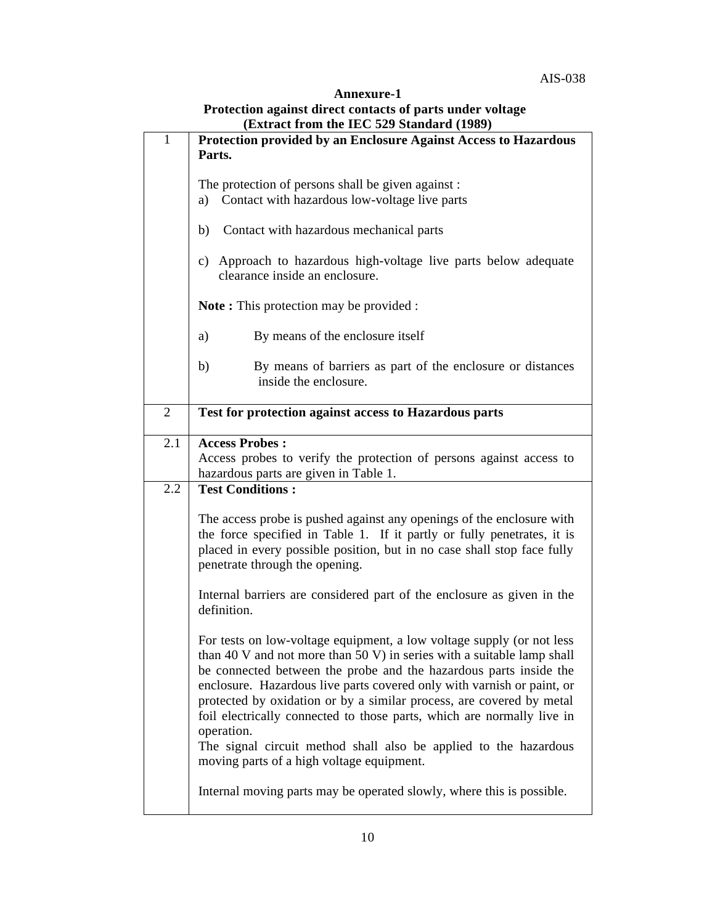| Annexure-1                                                |
|-----------------------------------------------------------|
| Protection against direct contacts of parts under voltage |
| (Extract from the IEC 529 Standard (1989)                 |

| $\mathbf{1}$   | $(2\pi)$<br>Protection provided by an Enclosure Against Access to Hazardous                                                                                                                                                                                                                                                                                                                                                                                                                                                                                                     |  |  |  |
|----------------|---------------------------------------------------------------------------------------------------------------------------------------------------------------------------------------------------------------------------------------------------------------------------------------------------------------------------------------------------------------------------------------------------------------------------------------------------------------------------------------------------------------------------------------------------------------------------------|--|--|--|
|                | Parts.                                                                                                                                                                                                                                                                                                                                                                                                                                                                                                                                                                          |  |  |  |
|                | The protection of persons shall be given against :<br>Contact with hazardous low-voltage live parts<br>a)                                                                                                                                                                                                                                                                                                                                                                                                                                                                       |  |  |  |
|                | Contact with hazardous mechanical parts<br>b)                                                                                                                                                                                                                                                                                                                                                                                                                                                                                                                                   |  |  |  |
|                | Approach to hazardous high-voltage live parts below adequate<br>c)<br>clearance inside an enclosure.                                                                                                                                                                                                                                                                                                                                                                                                                                                                            |  |  |  |
|                | <b>Note:</b> This protection may be provided:                                                                                                                                                                                                                                                                                                                                                                                                                                                                                                                                   |  |  |  |
|                | By means of the enclosure itself<br>a)                                                                                                                                                                                                                                                                                                                                                                                                                                                                                                                                          |  |  |  |
|                | By means of barriers as part of the enclosure or distances<br>b)<br>inside the enclosure.                                                                                                                                                                                                                                                                                                                                                                                                                                                                                       |  |  |  |
| $\overline{2}$ | Test for protection against access to Hazardous parts                                                                                                                                                                                                                                                                                                                                                                                                                                                                                                                           |  |  |  |
| 2.1            | <b>Access Probes:</b><br>Access probes to verify the protection of persons against access to<br>hazardous parts are given in Table 1.                                                                                                                                                                                                                                                                                                                                                                                                                                           |  |  |  |
| 2.2            | <b>Test Conditions:</b>                                                                                                                                                                                                                                                                                                                                                                                                                                                                                                                                                         |  |  |  |
|                | The access probe is pushed against any openings of the enclosure with<br>the force specified in Table 1. If it partly or fully penetrates, it is<br>placed in every possible position, but in no case shall stop face fully<br>penetrate through the opening.                                                                                                                                                                                                                                                                                                                   |  |  |  |
|                | Internal barriers are considered part of the enclosure as given in the<br>definition.                                                                                                                                                                                                                                                                                                                                                                                                                                                                                           |  |  |  |
|                | For tests on low-voltage equipment, a low voltage supply (or not less<br>than 40 V and not more than 50 V) in series with a suitable lamp shall<br>be connected between the probe and the hazardous parts inside the<br>enclosure. Hazardous live parts covered only with varnish or paint, or<br>protected by oxidation or by a similar process, are covered by metal<br>foil electrically connected to those parts, which are normally live in<br>operation.<br>The signal circuit method shall also be applied to the hazardous<br>moving parts of a high voltage equipment. |  |  |  |
|                | Internal moving parts may be operated slowly, where this is possible.                                                                                                                                                                                                                                                                                                                                                                                                                                                                                                           |  |  |  |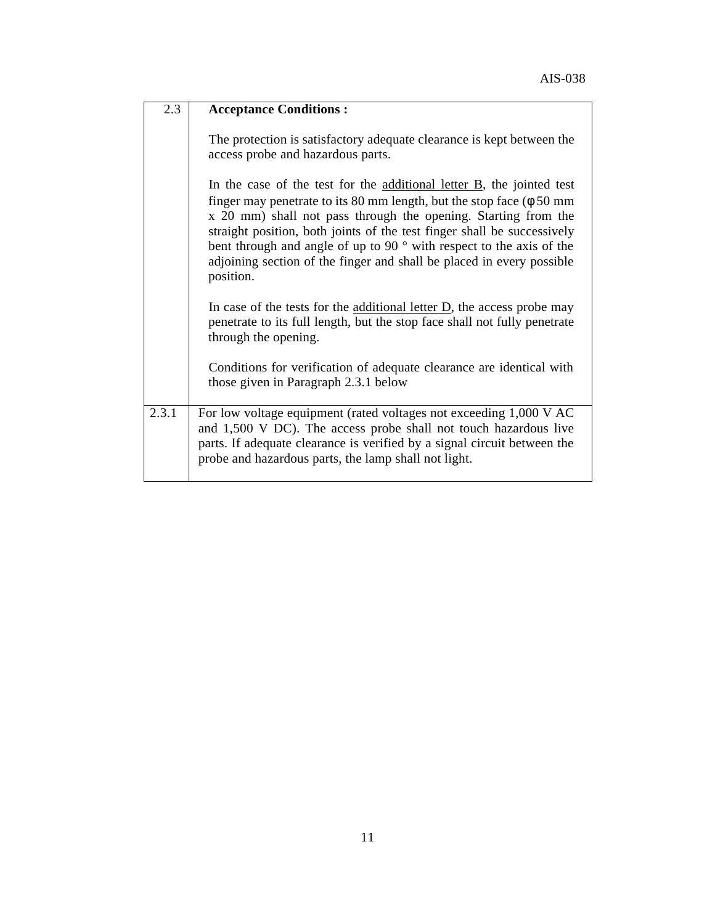| 2.3                | <b>Acceptance Conditions:</b>                                                                                                                                                                                                                                                                                                                                                                                                                                                        |
|--------------------|--------------------------------------------------------------------------------------------------------------------------------------------------------------------------------------------------------------------------------------------------------------------------------------------------------------------------------------------------------------------------------------------------------------------------------------------------------------------------------------|
|                    | The protection is satisfactory adequate clearance is kept between the<br>access probe and hazardous parts.                                                                                                                                                                                                                                                                                                                                                                           |
|                    | In the case of the test for the additional letter $\overline{B}$ , the jointed test<br>finger may penetrate to its 80 mm length, but the stop face $(\phi 50 \text{ mm})$<br>x 20 mm) shall not pass through the opening. Starting from the<br>straight position, both joints of the test finger shall be successively<br>bent through and angle of up to 90 ° with respect to the axis of the<br>adjoining section of the finger and shall be placed in every possible<br>position. |
|                    | In case of the tests for the <u>additional letter <math>D</math></u> , the access probe may<br>penetrate to its full length, but the stop face shall not fully penetrate<br>through the opening.                                                                                                                                                                                                                                                                                     |
|                    | Conditions for verification of adequate clearance are identical with<br>those given in Paragraph 2.3.1 below                                                                                                                                                                                                                                                                                                                                                                         |
| $\overline{2.3.1}$ | For low voltage equipment (rated voltages not exceeding 1,000 V AC<br>and 1,500 V DC). The access probe shall not touch hazardous live<br>parts. If adequate clearance is verified by a signal circuit between the<br>probe and hazardous parts, the lamp shall not light.                                                                                                                                                                                                           |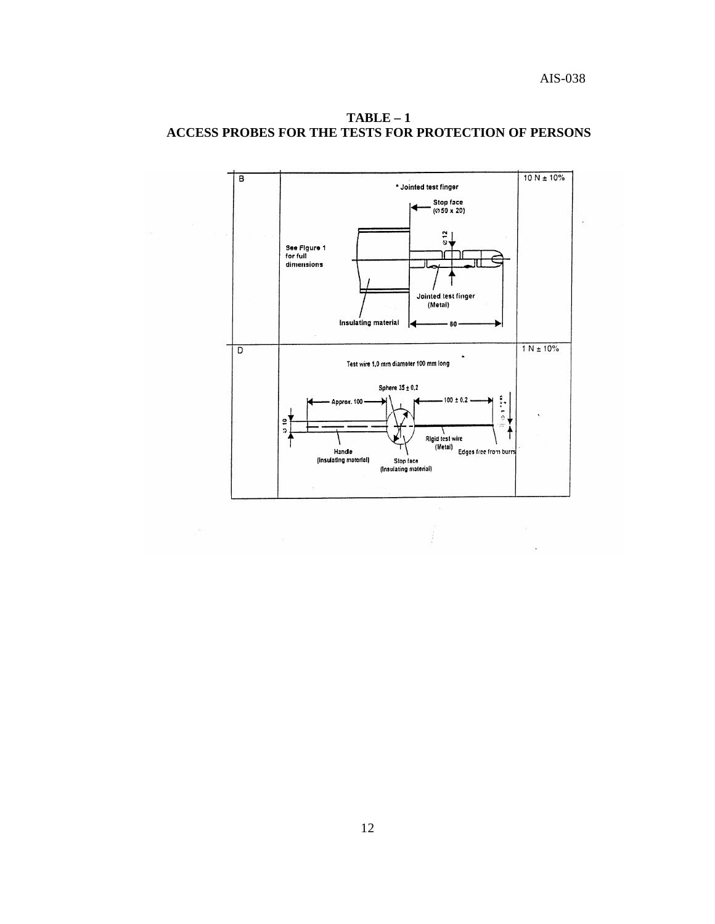

Ĵ

**TABLE – 1 ACCESS PROBES FOR THE TESTS FOR PROTECTION OF PERSONS**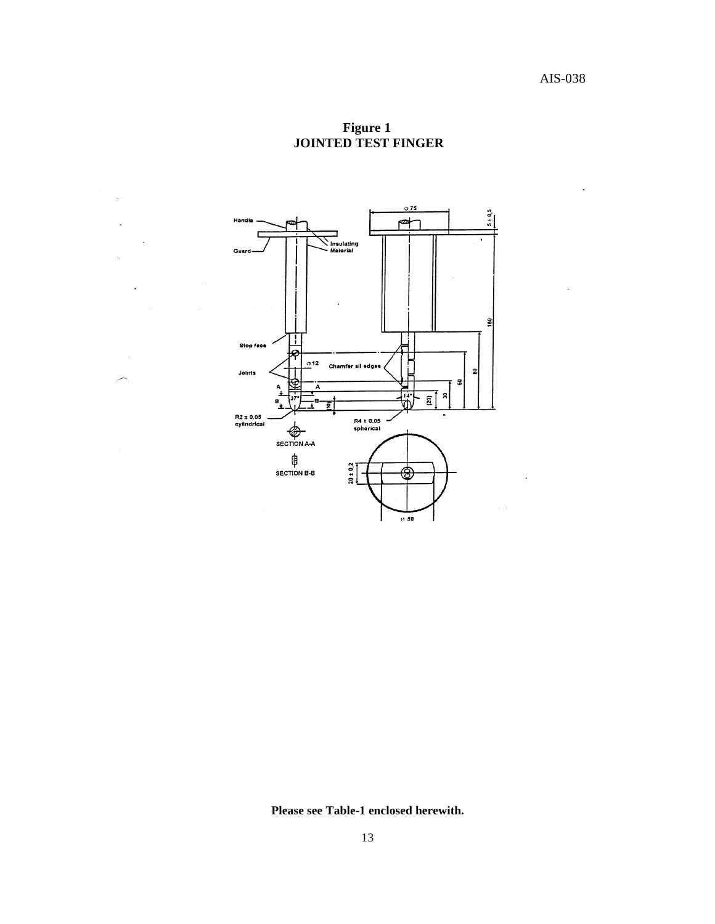**Figure 1 JOINTED TEST FINGER**



 $\bar{z}$ 

**Please see Table-1 enclosed herewith.**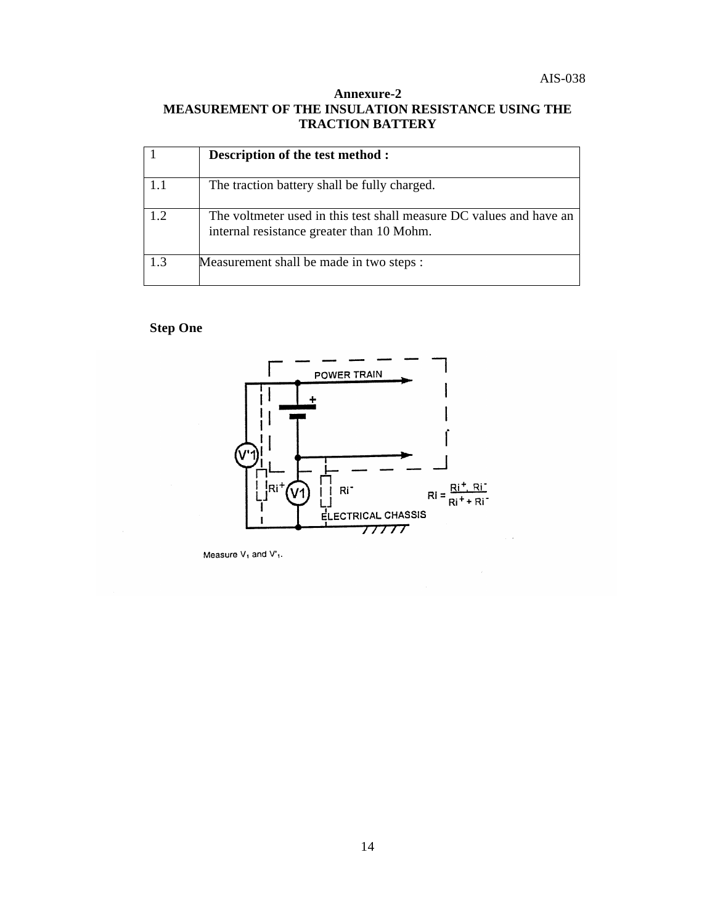# **Annexure-2 MEASUREMENT OF THE INSULATION RESISTANCE USING THE TRACTION BATTERY**

|     | Description of the test method :                                                                                 |
|-----|------------------------------------------------------------------------------------------------------------------|
|     | The traction battery shall be fully charged.                                                                     |
|     | The voltmeter used in this test shall measure DC values and have an<br>internal resistance greater than 10 Mohm. |
| 1.3 | Measurement shall be made in two steps :                                                                         |

# **Step One**



Measure  $V_1$  and  $V_1$ .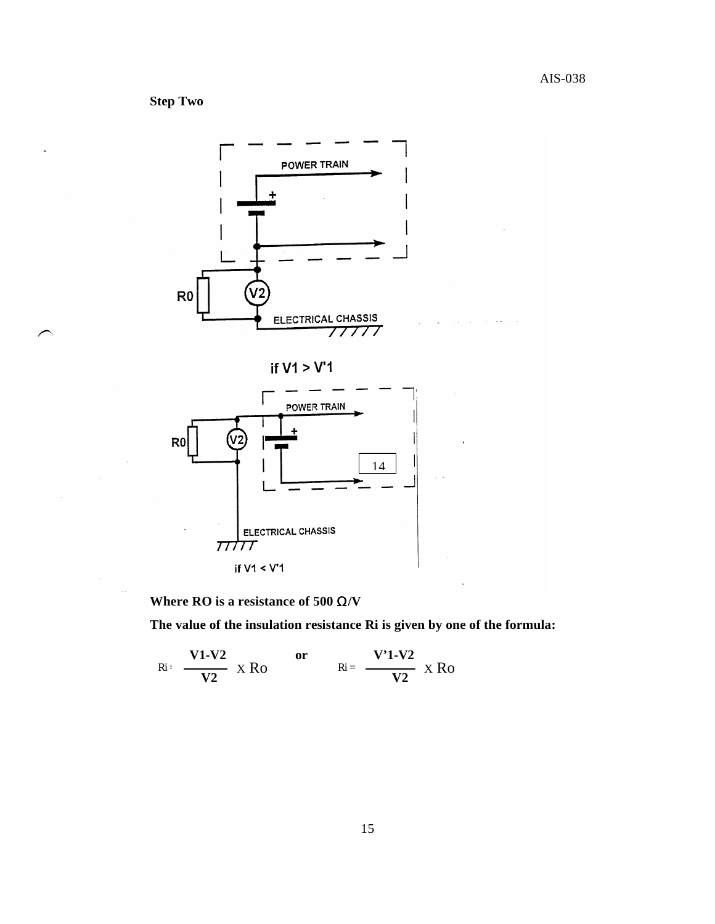**Step Two** 



if  $V1 > V'1$ 



**Where RO is a resistance of 500** Ω**/V**

**The value of the insulation resistance Ri is given by one of the formula:**

$$
Ri: \frac{V1-V2}{V2} \times Ro \qquad or \qquad Ri = \frac{V'1-V2}{V2} \times Ro
$$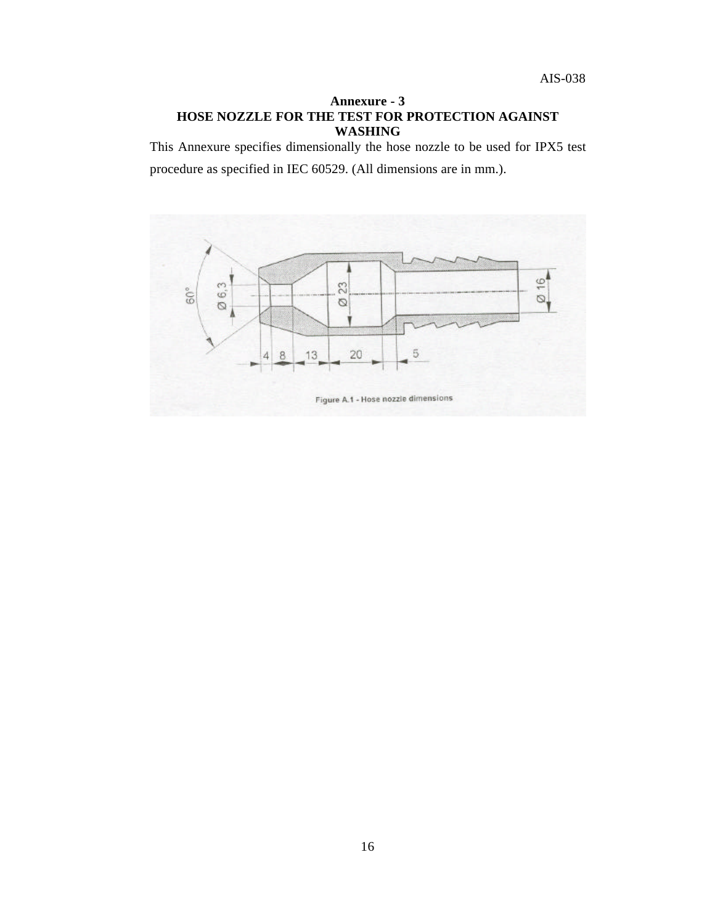## **Annexure - 3 HOSE NOZZLE FOR THE TEST FOR PROTECTION AGAINST WASHING**

This Annexure specifies dimensionally the hose nozzle to be used for IPX5 test

procedure as specified in IEC 60529. (All dimensions are in mm.).